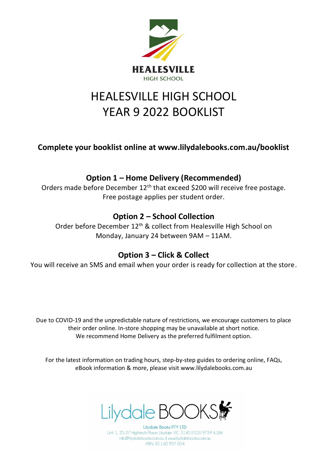

## HEALESVILLE HIGH SCHOOL YEAR 9 2022 BOOKLIST

**Complete your booklist online at www.lilydalebooks.com.au/booklist** 

## **Option 1 – Home Delivery (Recommended)**

Orders made before December 12<sup>th</sup> that exceed \$200 will receive free postage. Free postage applies per student order.

## **Option 2 – School Collection**

Order before December 12<sup>th</sup> & collect from Healesville High School on Monday, January 24 between 9AM – 11AM.

## **Option 3 – Click & Collect**

You will receive an SMS and email when your order is ready for collection at the store.

Due to COVID-19 and the unpredictable nature of restrictions, we encourage customers to place their order online. In-store shopping may be unavailable at short notice. We recommend Home Delivery as the preferred fulfilment option.

For the latest information on trading hours, step-by-step guides to ordering online, FAQs, eBook information & more, please visit www.lilydalebooks.com.au



**Lilydale Books PTY LTD** Unit 1, 25-27 Hightech Place Lilydale VIC 3140 | (03) 9739 6186 info@lilydalebooks.com.au | www.lilydalebooks.com.au ABN 30 160 957 004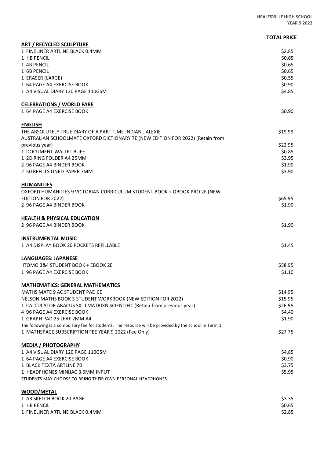|                                                                                                                                                               | <b>TOTAL PRICE</b> |
|---------------------------------------------------------------------------------------------------------------------------------------------------------------|--------------------|
| <b>ART / RECYCLED SCULPTURE</b>                                                                                                                               |                    |
| 1 FINELINER ARTLINE BLACK 0.4MM                                                                                                                               | \$2.85             |
| 1 HB PENCIL                                                                                                                                                   | \$0.65             |
| 1 4B PENCIL                                                                                                                                                   | \$0.65             |
| 1 6B PENCIL                                                                                                                                                   | \$0.65             |
| 1 ERASER (LARGE)                                                                                                                                              | \$0.55             |
| 1 64 PAGE A4 EXERCISE BOOK                                                                                                                                    | \$0.90             |
| 1 A4 VISUAL DIARY 120 PAGE 110GSM                                                                                                                             | \$4.85             |
| <b>CELEBRATIONS / WORLD FARE</b>                                                                                                                              |                    |
| 1 64 PAGE A4 EXERCISE BOOK                                                                                                                                    | \$0.90             |
| <b>ENGLISH</b>                                                                                                                                                |                    |
| THE ABSOLUTELY TRUE DIARY OF A PART TIME INDIANALEXIE                                                                                                         | \$19.99            |
| AUSTRALIAN SCHOOLMATE OXFORD DICTIONARY 7E (NEW EDITION FOR 2022) (Retain from                                                                                |                    |
| previous year)                                                                                                                                                | \$22.95            |
| 1 DOCUMENT WALLET BUFF                                                                                                                                        | \$0.85             |
| 1 2D RING FOLDER A4 25MM                                                                                                                                      | \$3.95             |
| 2 96 PAGE A4 BINDER BOOK                                                                                                                                      | \$1.90             |
| 2 50 REFILLS LINED PAPER 7MM                                                                                                                                  | \$3.90             |
| <b>HUMANITIES</b>                                                                                                                                             |                    |
| OXFORD HUMANITIES 9 VICTORIAN CURRICULUM STUDENT BOOK + OBOOK PRO 2E (NEW                                                                                     |                    |
| <b>EDITION FOR 2022)</b><br>2 96 PAGE A4 BINDER BOOK                                                                                                          | \$65.95<br>\$1.90  |
|                                                                                                                                                               |                    |
| <b>HEALTH &amp; PHYSICAL EDUCATION</b><br>2 96 PAGE A4 BINDER BOOK                                                                                            | \$1.90             |
|                                                                                                                                                               |                    |
| <b>INSTRUMENTAL MUSIC</b><br>1 A4 DISPLAY BOOK 20 POCKETS REFILLABLE                                                                                          | \$1.45             |
|                                                                                                                                                               |                    |
| <b>LANGUAGES: JAPANESE</b>                                                                                                                                    |                    |
| <b>IITOMO 3&amp;4 STUDENT BOOK + EBOOK 2E</b>                                                                                                                 | \$58.95            |
| 1 96 PAGE A4 EXERCISE BOOK                                                                                                                                    | \$1.10             |
| <b>MATHEMATICS: GENERAL MATHEMATICS</b>                                                                                                                       |                    |
| MATHS MATE 9 AC STUDENT PAD 6E                                                                                                                                | \$14.95            |
| NELSON MATHS BOOK 3 STUDENT WORKBOOK (NEW EDITION FOR 2022)                                                                                                   | \$15.95            |
| 1 CALCULATOR ABACUS SX-II MATRIXN SCIENTIFIC (Retain from previous year)                                                                                      | \$26.95            |
| 4 96 PAGE A4 EXERCISE BOOK                                                                                                                                    | \$4.40             |
| 1 GRAPH PAD 25 LEAF 2MM A4                                                                                                                                    | \$1.90             |
| The following is a compulsory fee for students. The resource will be provided by the school in Term 1.<br>1 MATHSPACE SUBSCRIPTION FEE YEAR 9 2022 (Fee Only) | \$27.75            |
|                                                                                                                                                               |                    |
| <b>MEDIA / PHOTOGRAPHY</b>                                                                                                                                    |                    |
| 1 A4 VISUAL DIARY 120 PAGE 110GSM                                                                                                                             | \$4.85             |
| 1 64 PAGE A4 EXERCISE BOOK                                                                                                                                    | \$0.90<br>\$3.75   |
| 1 BLACK TEXTA ARTLINE 70                                                                                                                                      |                    |
| 1 HEADPHONES MINIJAC 3.5MM INPUT<br>STUDENTS MAY CHOOSE TO BRING THEIR OWN PERSONAL HEADPHONES                                                                | \$5.95             |
| <b>WOOD/METAL</b>                                                                                                                                             |                    |
| 1 A3 SKETCH BOOK 20 PAGE                                                                                                                                      | \$3.35             |
| 1 HB PENCIL                                                                                                                                                   | \$0.65             |
| 1 FINELINER ARTLINE BLACK 0.4MM                                                                                                                               | \$2.85             |